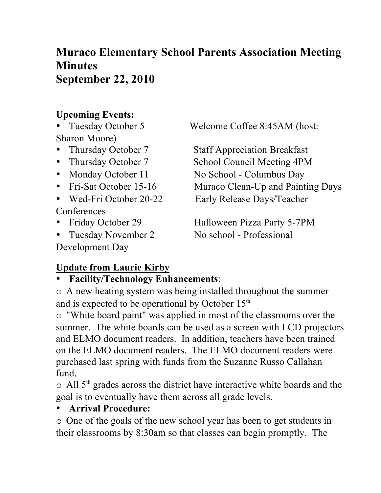# **Muraco Elementary School Parents Association Meeting Minutes September 22, 2010**

## **Upcoming Events:**

Sharon Moore)

- 
- 
- 
- 
- **Conferences**
- 
- Tuesday November 2 No school Professional

Development Day

• Tuesday October 5 Welcome Coffee 8:45AM (host:

• Thursday October 7 Staff Appreciation Breakfast • Thursday October 7 School Council Meeting 4PM • Monday October 11 No School - Columbus Day • Fri-Sat October 15-16 Muraco Clean-Up and Painting Days • Wed-Fri October 20-22 Early Release Days/Teacher

• Friday October 29 Halloween Pizza Party 5-7PM

# **Update from Laurie Kirby**

## • **Facility/Technology Enhancements**:

o A new heating system was being installed throughout the summer and is expected to be operational by October 15<sup>th.</sup>

o "White board paint" was applied in most of the classrooms over the summer. The white boards can be used as a screen with LCD projectors and ELMO document readers. In addition, teachers have been trained on the ELMO document readers. The ELMO document readers were purchased last spring with funds from the Suzanne Russo Callahan fund.

o All 5<sup>th</sup> grades across the district have interactive white boards and the goal is to eventually have them across all grade levels.

## • **Arrival Procedure:**

o One of the goals of the new school year has been to get students in their classrooms by 8:30am so that classes can begin promptly. The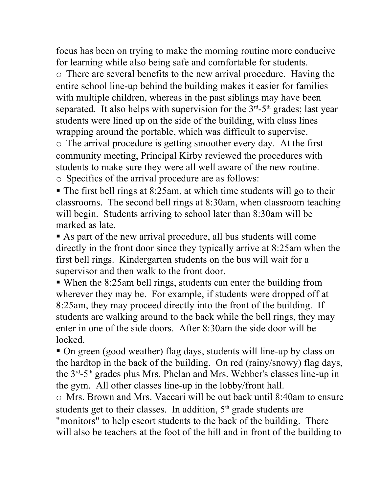focus has been on trying to make the morning routine more conducive for learning while also being safe and comfortable for students. o There are several benefits to the new arrival procedure. Having the entire school line-up behind the building makes it easier for families with multiple children, whereas in the past siblings may have been separated. It also helps with supervision for the  $3<sup>rd</sup> - 5<sup>th</sup>$  grades; last year students were lined up on the side of the building, with class lines wrapping around the portable, which was difficult to supervise.

o The arrival procedure is getting smoother every day. At the first community meeting, Principal Kirby reviewed the procedures with students to make sure they were all well aware of the new routine. o Specifics of the arrival procedure are as follows:

 The first bell rings at 8:25am, at which time students will go to their classrooms. The second bell rings at 8:30am, when classroom teaching will begin. Students arriving to school later than 8:30am will be marked as late.

 As part of the new arrival procedure, all bus students will come directly in the front door since they typically arrive at 8:25am when the first bell rings. Kindergarten students on the bus will wait for a supervisor and then walk to the front door.

 When the 8:25am bell rings, students can enter the building from wherever they may be. For example, if students were dropped off at 8:25am, they may proceed directly into the front of the building. If students are walking around to the back while the bell rings, they may enter in one of the side doors. After 8:30am the side door will be locked.

• On green (good weather) flag days, students will line-up by class on the hardtop in the back of the building. On red (rainy/snowy) flag days, the 3rd-5th grades plus Mrs. Phelan and Mrs. Webber's classes line-up in the gym. All other classes line-up in the lobby/front hall.

o Mrs. Brown and Mrs. Vaccari will be out back until 8:40am to ensure students get to their classes. In addition,  $5<sup>th</sup>$  grade students are "monitors" to help escort students to the back of the building. There will also be teachers at the foot of the hill and in front of the building to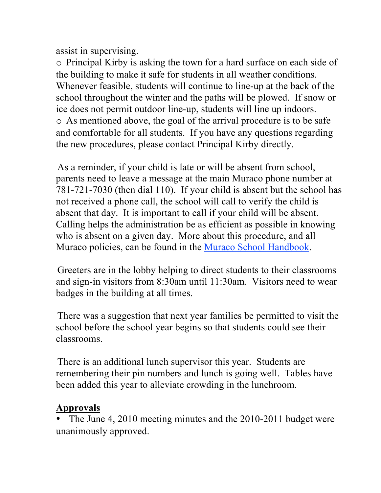assist in supervising.

o Principal Kirby is asking the town for a hard surface on each side of the building to make it safe for students in all weather conditions. Whenever feasible, students will continue to line-up at the back of the school throughout the winter and the paths will be plowed. If snow or ice does not permit outdoor line-up, students will line up indoors. o As mentioned above, the goal of the arrival procedure is to be safe and comfortable for all students. If you have any questions regarding the new procedures, please contact Principal Kirby directly.

As a reminder, if your child is late or will be absent from school, parents need to leave a message at the main Muraco phone number at 781-721-7030 (then dial 110). If your child is absent but the school has not received a phone call, the school will call to verify the child is absent that day. It is important to call if your child will be absent. Calling helps the administration be as efficient as possible in knowing who is absent on a given day. More about this procedure, and all Muraco policies, can be found in the Muraco School Handbook.

Greeters are in the lobby helping to direct students to their classrooms and sign-in visitors from 8:30am until 11:30am. Visitors need to wear badges in the building at all times.

There was a suggestion that next year families be permitted to visit the school before the school year begins so that students could see their classrooms.

There is an additional lunch supervisor this year. Students are remembering their pin numbers and lunch is going well. Tables have been added this year to alleviate crowding in the lunchroom.

## **Approvals**

The June 4, 2010 meeting minutes and the 2010-2011 budget were unanimously approved.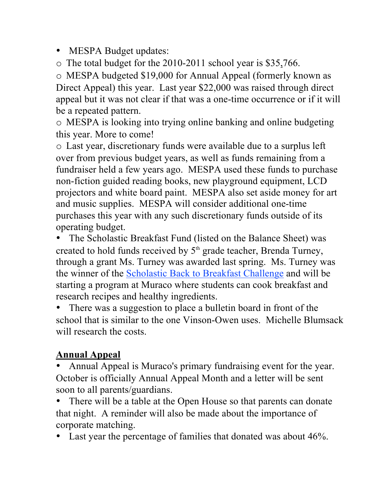• MESPA Budget updates:

o The total budget for the 2010-2011 school year is \$35,766.

o MESPA budgeted \$19,000 for Annual Appeal (formerly known as Direct Appeal) this year. Last year \$22,000 was raised through direct appeal but it was not clear if that was a one-time occurrence or if it will be a repeated pattern.

o MESPA is looking into trying online banking and online budgeting this year. More to come!

o Last year, discretionary funds were available due to a surplus left over from previous budget years, as well as funds remaining from a fundraiser held a few years ago. MESPA used these funds to purchase non-fiction guided reading books, new playground equipment, LCD projectors and white board paint. MESPA also set aside money for art and music supplies. MESPA will consider additional one-time purchases this year with any such discretionary funds outside of its operating budget.

• The Scholastic Breakfast Fund (listed on the Balance Sheet) was created to hold funds received by  $5<sup>th</sup>$  grade teacher, Brenda Turney, through a grant Ms. Turney was awarded last spring. Ms. Turney was the winner of the Scholastic Back to Breakfast Challenge and will be starting a program at Muraco where students can cook breakfast and research recipes and healthy ingredients.

• There was a suggestion to place a bulletin board in front of the school that is similar to the one Vinson-Owen uses. Michelle Blumsack will research the costs.

# **Annual Appeal**

• Annual Appeal is Muraco's primary fundraising event for the year. October is officially Annual Appeal Month and a letter will be sent soon to all parents/guardians.

There will be a table at the Open House so that parents can donate that night. A reminder will also be made about the importance of corporate matching.

• Last year the percentage of families that donated was about 46%.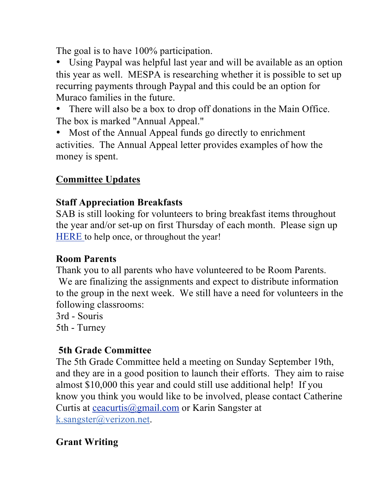The goal is to have 100% participation.

• Using Paypal was helpful last year and will be available as an option this year as well. MESPA is researching whether it is possible to set up recurring payments through Paypal and this could be an option for Muraco families in the future.

• There will also be a box to drop off donations in the Main Office. The box is marked "Annual Appeal."

• Most of the Annual Appeal funds go directly to enrichment activities. The Annual Appeal letter provides examples of how the money is spent.

## **Committee Updates**

## **Staff Appreciation Breakfasts**

SAB is still looking for volunteers to bring breakfast items throughout the year and/or set-up on first Thursday of each month. Please sign up HERE to help once, or throughout the year!

## **Room Parents**

Thank you to all parents who have volunteered to be Room Parents. We are finalizing the assignments and expect to distribute information to the group in the next week. We still have a need for volunteers in the following classrooms:

3rd - Souris

5th - Turney

## **5th Grade Committee**

The 5th Grade Committee held a meeting on Sunday September 19th, and they are in a good position to launch their efforts. They aim to raise almost \$10,000 this year and could still use additional help! If you know you think you would like to be involved, please contact Catherine Curtis at ceacurtis@gmail.com or Karin Sangster at k.sangster@verizon.net.

# **Grant Writing**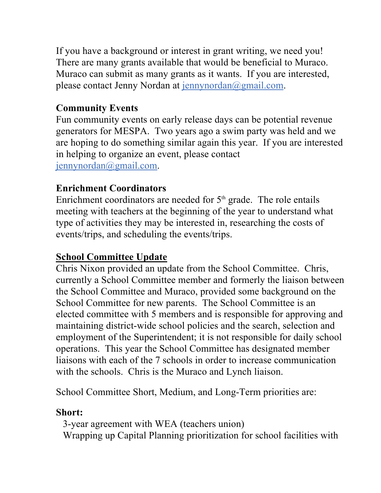If you have a background or interest in grant writing, we need you! There are many grants available that would be beneficial to Muraco. Muraco can submit as many grants as it wants. If you are interested, please contact Jenny Nordan at jennynordan@gmail.com.

### **Community Events**

Fun community events on early release days can be potential revenue generators for MESPA. Two years ago a swim party was held and we are hoping to do something similar again this year. If you are interested in helping to organize an event, please contact jennynordan@gmail.com.

#### **Enrichment Coordinators**

Enrichment coordinators are needed for  $5<sup>th</sup>$  grade. The role entails meeting with teachers at the beginning of the year to understand what type of activities they may be interested in, researching the costs of events/trips, and scheduling the events/trips.

#### **School Committee Update**

Chris Nixon provided an update from the School Committee. Chris, currently a School Committee member and formerly the liaison between the School Committee and Muraco, provided some background on the School Committee for new parents. The School Committee is an elected committee with 5 members and is responsible for approving and maintaining district-wide school policies and the search, selection and employment of the Superintendent; it is not responsible for daily school operations. This year the School Committee has designated member liaisons with each of the 7 schools in order to increase communication with the schools. Chris is the Muraco and Lynch liaison.

School Committee Short, Medium, and Long-Term priorities are:

#### **Short:**

3-year agreement with WEA (teachers union) Wrapping up Capital Planning prioritization for school facilities with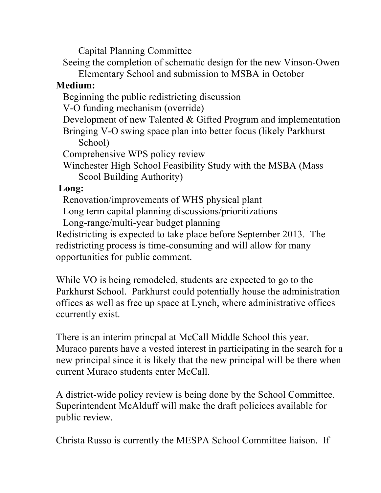Capital Planning Committee

Seeing the completion of schematic design for the new Vinson-Owen

Elementary School and submission to MSBA in October

### **Medium:**

Beginning the public redistricting discussion

V-O funding mechanism (override)

Development of new Talented & Gifted Program and implementation

Bringing V-O swing space plan into better focus (likely Parkhurst School)

Comprehensive WPS policy review

Winchester High School Feasibility Study with the MSBA (Mass Scool Building Authority)

#### **Long:**

Renovation/improvements of WHS physical plant

Long term capital planning discussions/prioritizations

Long-range/multi-year budget planning

Redistricting is expected to take place before September 2013. The redistricting process is time-consuming and will allow for many opportunities for public comment.

While VO is being remodeled, students are expected to go to the Parkhurst School. Parkhurst could potentially house the administration offices as well as free up space at Lynch, where administrative offices ccurrently exist.

There is an interim princpal at McCall Middle School this year. Muraco parents have a vested interest in participating in the search for a new principal since it is likely that the new principal will be there when current Muraco students enter McCall.

A district-wide policy review is being done by the School Committee. Superintendent McAlduff will make the draft policices available for public review.

Christa Russo is currently the MESPA School Committee liaison. If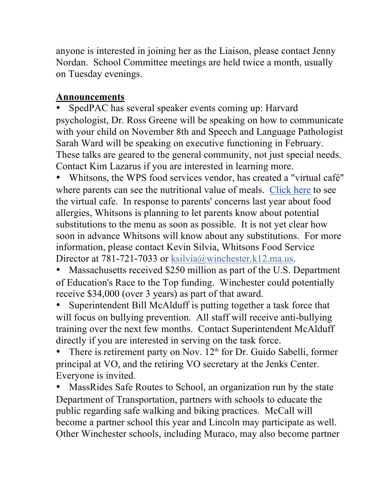anyone is interested in joining her as the Liaison, please contact Jenny Nordan. School Committee meetings are held twice a month, usually on Tuesday evenings.

## **Announcements**

SpedPAC has several speaker events coming up: Harvard psychologist, Dr. Ross Greene will be speaking on how to communicate with your child on November 8th and Speech and Language Pathologist Sarah Ward will be speaking on executive functioning in February. These talks are geared to the general community, not just special needs. Contact Kim Lazarus if you are interested in learning more.

• Whitsons, the WPS food services vendor, has created a "virtual café" where parents can see the nutritional value of meals. Click here to see the virtual cafe. In response to parents' concerns last year about food allergies, Whitsons is planning to let parents know about potential substitutions to the menu as soon as possible. It is not yet clear how soon in advance Whitsons will know about any substitutions. For more information, please contact Kevin Silvia, Whitsons Food Service Director at 781-721-7033 or ksilvia@winchester.k12.ma.us.

• Massachusetts received \$250 million as part of the U.S. Department of Education's Race to the Top funding. Winchester could potentially receive \$34,000 (over 3 years) as part of that award.

• Superintendent Bill McAlduff is putting together a task force that will focus on bullying prevention. All staff will receive anti-bullying training over the next few months. Contact Superintendent McAlduff directly if you are interested in serving on the task force.

There is retirement party on Nov.  $12<sup>th</sup>$  for Dr. Guido Sabelli, former principal at VO, and the retiring VO secretary at the Jenks Center. Everyone is invited.

• MassRides Safe Routes to School, an organization run by the state Department of Transportation, partners with schools to educate the public regarding safe walking and biking practices. McCall will become a partner school this year and Lincoln may participate as well. Other Winchester schools, including Muraco, may also become partner